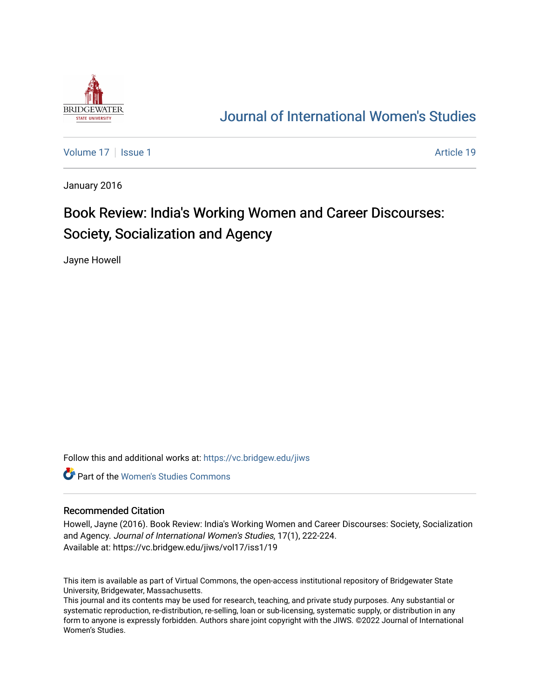

## [Journal of International Women's Studies](https://vc.bridgew.edu/jiws)

[Volume 17](https://vc.bridgew.edu/jiws/vol17) | [Issue 1](https://vc.bridgew.edu/jiws/vol17/iss1) Article 19

January 2016

# Book Review: India's Working Women and Career Discourses: Society, Socialization and Agency

Jayne Howell

Follow this and additional works at: [https://vc.bridgew.edu/jiws](https://vc.bridgew.edu/jiws?utm_source=vc.bridgew.edu%2Fjiws%2Fvol17%2Fiss1%2F19&utm_medium=PDF&utm_campaign=PDFCoverPages)

**C** Part of the Women's Studies Commons

### Recommended Citation

Howell, Jayne (2016). Book Review: India's Working Women and Career Discourses: Society, Socialization and Agency. Journal of International Women's Studies, 17(1), 222-224. Available at: https://vc.bridgew.edu/jiws/vol17/iss1/19

This item is available as part of Virtual Commons, the open-access institutional repository of Bridgewater State University, Bridgewater, Massachusetts.

This journal and its contents may be used for research, teaching, and private study purposes. Any substantial or systematic reproduction, re-distribution, re-selling, loan or sub-licensing, systematic supply, or distribution in any form to anyone is expressly forbidden. Authors share joint copyright with the JIWS. ©2022 Journal of International Women's Studies.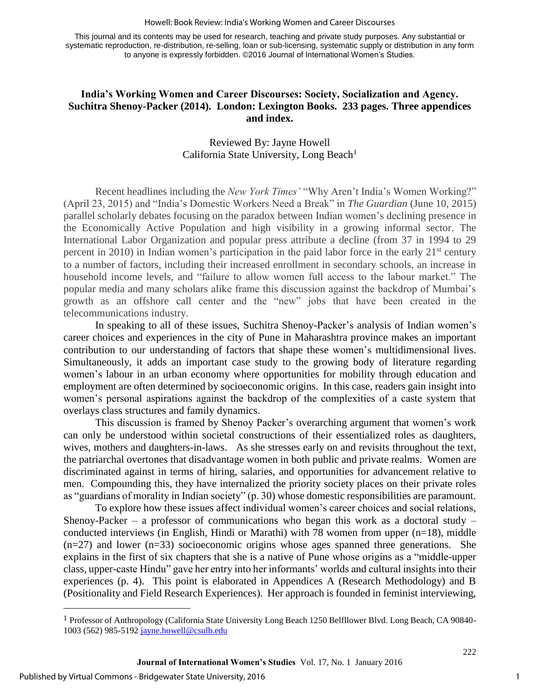#### Howell: Book Review: India's Working Women and Career Discourses

This journal and its contents may be used for research, teaching and private study purposes. Any substantial or systematic reproduction, re-distribution, re-selling, loan or sub-licensing, systematic supply or distribution in any form to anyone is expressly forbidden. ©2016 Journal of International Women's Studies.

## **India's Working Women and Career Discourses: Society, Socialization and Agency. Suchitra Shenoy-Packer (2014). London: Lexington Books. 233 pages. Three appendices and index.**

## Reviewed By: Jayne Howell California State University, Long Beach<sup>1</sup>

Recent headlines including the *New York Times'* "Why Aren't India's Women Working?" (April 23, 2015) and "India's Domestic Workers Need a Break" in *The Guardian* (June 10, 2015) parallel scholarly debates focusing on the paradox between Indian women's declining presence in the Economically Active Population and high visibility in a growing informal sector. The International Labor Organization and popular press attribute a decline (from 37 in 1994 to 29 percent in 2010) in Indian women's participation in the paid labor force in the early  $21<sup>st</sup>$  century to a number of factors, including their increased enrollment in secondary schools, an increase in household income levels, and "failure to allow women full access to the labour market." The popular media and many scholars alike frame this discussion against the backdrop of Mumbai's growth as an offshore call center and the "new" jobs that have been created in the telecommunications industry.

In speaking to all of these issues, Suchitra Shenoy-Packer's analysis of Indian women's career choices and experiences in the city of Pune in Maharashtra province makes an important contribution to our understanding of factors that shape these women's multidimensional lives. Simultaneously, it adds an important case study to the growing body of literature regarding women's labour in an urban economy where opportunities for mobility through education and employment are often determined by socioeconomic origins. In this case, readers gain insight into women's personal aspirations against the backdrop of the complexities of a caste system that overlays class structures and family dynamics.

This discussion is framed by Shenoy Packer's overarching argument that women's work can only be understood within societal constructions of their essentialized roles as daughters, wives, mothers and daughters-in-laws. As she stresses early on and revisits throughout the text, the patriarchal overtones that disadvantage women in both public and private realms. Women are discriminated against in terms of hiring, salaries, and opportunities for advancement relative to men. Compounding this, they have internalized the priority society places on their private roles as "guardians of morality in Indian society" (p. 30) whose domestic responsibilities are paramount.

To explore how these issues affect individual women's career choices and social relations, Shenoy-Packer – a professor of communications who began this work as a doctoral study – conducted interviews (in English, Hindi or Marathi) with 78 women from upper  $(n=18)$ , middle  $(n=27)$  and lower  $(n=33)$  socioeconomic origins whose ages spanned three generations. She explains in the first of six chapters that she is a native of Pune whose origins as a "middle-upper class, upper-caste Hindu" gave her entry into her informants' worlds and cultural insights into their experiences (p. 4). This point is elaborated in Appendices A (Research Methodology) and B (Positionality and Field Research Experiences). Her approach is founded in feminist interviewing,

 $\overline{a}$ 

222

<sup>1</sup> Professor of Anthropology (California State University Long Beach 1250 Belfllower Blvd. Long Beach, CA 90840- 1003 (562) 985-519[2 jayne.howell@csulb.edu](mailto:jayne.howell@csulb.edu)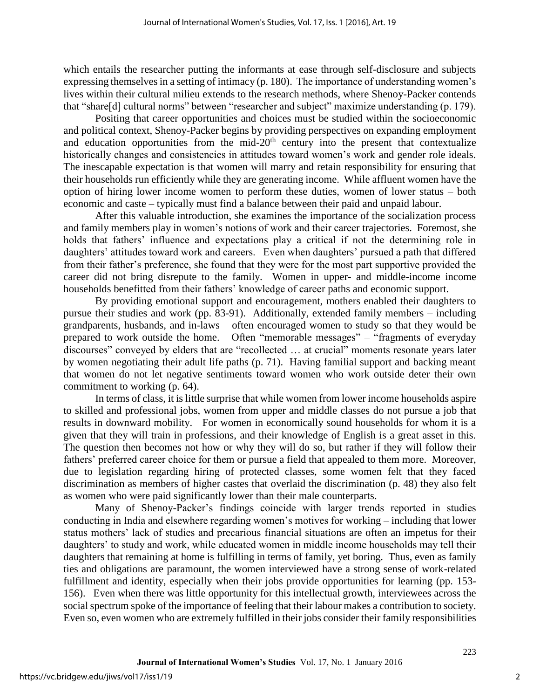which entails the researcher putting the informants at ease through self-disclosure and subjects expressing themselves in a setting of intimacy (p. 180). The importance of understanding women's lives within their cultural milieu extends to the research methods, where Shenoy-Packer contends that "share[d] cultural norms" between "researcher and subject" maximize understanding (p. 179).

Positing that career opportunities and choices must be studied within the socioeconomic and political context, Shenoy-Packer begins by providing perspectives on expanding employment and education opportunities from the mid- $20<sup>th</sup>$  century into the present that contextualize historically changes and consistencies in attitudes toward women's work and gender role ideals. The inescapable expectation is that women will marry and retain responsibility for ensuring that their households run efficiently while they are generating income. While affluent women have the option of hiring lower income women to perform these duties, women of lower status – both economic and caste – typically must find a balance between their paid and unpaid labour.

After this valuable introduction, she examines the importance of the socialization process and family members play in women's notions of work and their career trajectories. Foremost, she holds that fathers' influence and expectations play a critical if not the determining role in daughters' attitudes toward work and careers. Even when daughters' pursued a path that differed from their father's preference, she found that they were for the most part supportive provided the career did not bring disrepute to the family. Women in upper- and middle-income income households benefitted from their fathers' knowledge of career paths and economic support.

By providing emotional support and encouragement, mothers enabled their daughters to pursue their studies and work (pp. 83-91). Additionally, extended family members – including grandparents, husbands, and in-laws – often encouraged women to study so that they would be prepared to work outside the home. Often "memorable messages" – "fragments of everyday discourses" conveyed by elders that are "recollected … at crucial" moments resonate years later by women negotiating their adult life paths (p. 71). Having familial support and backing meant that women do not let negative sentiments toward women who work outside deter their own commitment to working (p. 64).

In terms of class, it is little surprise that while women from lower income households aspire to skilled and professional jobs, women from upper and middle classes do not pursue a job that results in downward mobility. For women in economically sound households for whom it is a given that they will train in professions, and their knowledge of English is a great asset in this. The question then becomes not how or why they will do so, but rather if they will follow their fathers' preferred career choice for them or pursue a field that appealed to them more. Moreover, due to legislation regarding hiring of protected classes, some women felt that they faced discrimination as members of higher castes that overlaid the discrimination (p. 48) they also felt as women who were paid significantly lower than their male counterparts.

Many of Shenoy-Packer's findings coincide with larger trends reported in studies conducting in India and elsewhere regarding women's motives for working – including that lower status mothers' lack of studies and precarious financial situations are often an impetus for their daughters' to study and work, while educated women in middle income households may tell their daughters that remaining at home is fulfilling in terms of family, yet boring. Thus, even as family ties and obligations are paramount, the women interviewed have a strong sense of work-related fulfillment and identity, especially when their jobs provide opportunities for learning (pp. 153- 156). Even when there was little opportunity for this intellectual growth, interviewees across the social spectrum spoke of the importance of feeling that their labour makes a contribution to society. Even so, even women who are extremely fulfilled in their jobs consider their family responsibilities

223